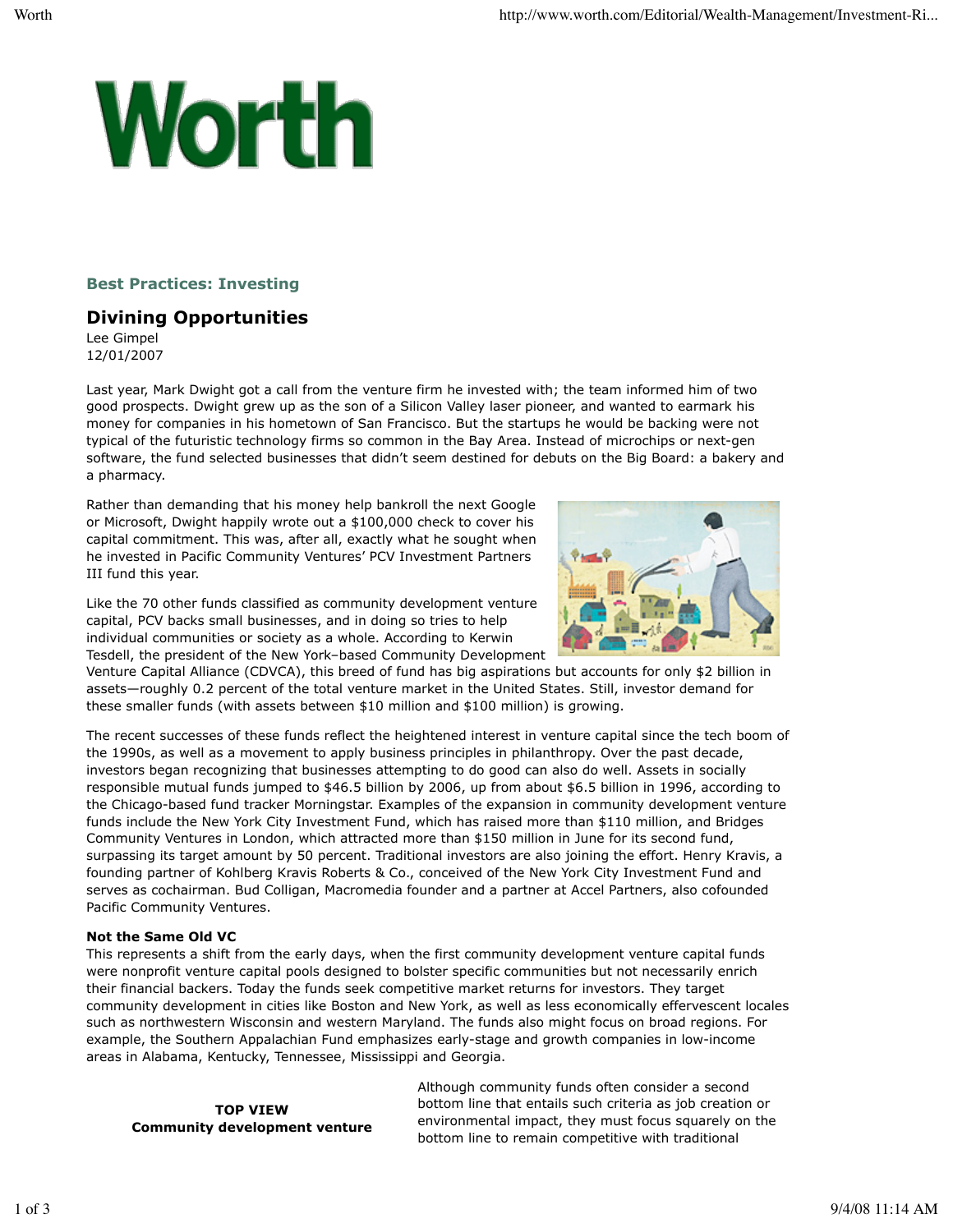# Worth

## **Best Practices: Investing**

# **Divining Opportunities**

Lee Gimpel 12/01/2007

Last year, Mark Dwight got a call from the venture firm he invested with; the team informed him of two good prospects. Dwight grew up as the son of a Silicon Valley laser pioneer, and wanted to earmark his money for companies in his hometown of San Francisco. But the startups he would be backing were not typical of the futuristic technology firms so common in the Bay Area. Instead of microchips or next-gen software, the fund selected businesses that didn't seem destined for debuts on the Big Board: a bakery and a pharmacy.

Rather than demanding that his money help bankroll the next Google or Microsoft, Dwight happily wrote out a \$100,000 check to cover his capital commitment. This was, after all, exactly what he sought when he invested in Pacific Community Ventures' PCV Investment Partners III fund this year.

Like the 70 other funds classified as community development venture capital, PCV backs small businesses, and in doing so tries to help individual communities or society as a whole. According to Kerwin Tesdell, the president of the New York–based Community Development



Venture Capital Alliance (CDVCA), this breed of fund has big aspirations but accounts for only \$2 billion in assets—roughly 0.2 percent of the total venture market in the United States. Still, investor demand for these smaller funds (with assets between \$10 million and \$100 million) is growing.

The recent successes of these funds reflect the heightened interest in venture capital since the tech boom of the 1990s, as well as a movement to apply business principles in philanthropy. Over the past decade, investors began recognizing that businesses attempting to do good can also do well. Assets in socially responsible mutual funds jumped to \$46.5 billion by 2006, up from about \$6.5 billion in 1996, according to the Chicago-based fund tracker Morningstar. Examples of the expansion in community development venture funds include the New York City Investment Fund, which has raised more than \$110 million, and Bridges Community Ventures in London, which attracted more than \$150 million in June for its second fund, surpassing its target amount by 50 percent. Traditional investors are also joining the effort. Henry Kravis, a founding partner of Kohlberg Kravis Roberts & Co., conceived of the New York City Investment Fund and serves as cochairman. Bud Colligan, Macromedia founder and a partner at Accel Partners, also cofounded Pacific Community Ventures.

### **Not the Same Old VC**

This represents a shift from the early days, when the first community development venture capital funds were nonprofit venture capital pools designed to bolster specific communities but not necessarily enrich their financial backers. Today the funds seek competitive market returns for investors. They target community development in cities like Boston and New York, as well as less economically effervescent locales such as northwestern Wisconsin and western Maryland. The funds also might focus on broad regions. For example, the Southern Appalachian Fund emphasizes early-stage and growth companies in low-income areas in Alabama, Kentucky, Tennessee, Mississippi and Georgia.

**TOP VIEW Community development venture** Although community funds often consider a second bottom line that entails such criteria as job creation or environmental impact, they must focus squarely on the bottom line to remain competitive with traditional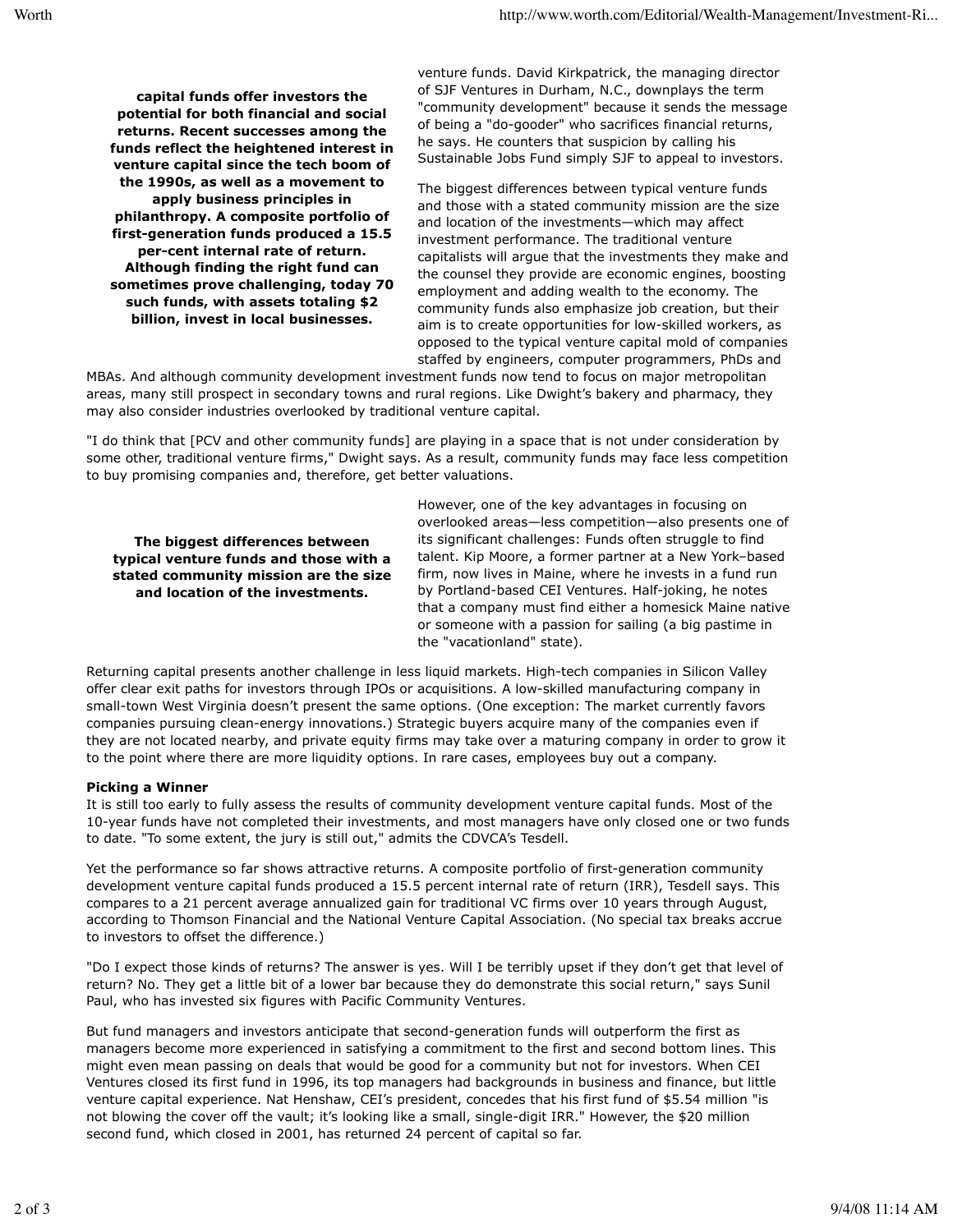**capital funds offer investors the potential for both financial and social returns. Recent successes among the funds reflect the heightened interest in venture capital since the tech boom of the 1990s, as well as a movement to apply business principles in philanthropy. A composite portfolio of first-generation funds produced a 15.5 per-cent internal rate of return. Although finding the right fund can sometimes prove challenging, today 70 such funds, with assets totaling \$2 billion, invest in local businesses.**

venture funds. David Kirkpatrick, the managing director of SJF Ventures in Durham, N.C., downplays the term "community development" because it sends the message of being a "do-gooder" who sacrifices financial returns, he says. He counters that suspicion by calling his Sustainable Jobs Fund simply SJF to appeal to investors.

The biggest differences between typical venture funds and those with a stated community mission are the size and location of the investments—which may affect investment performance. The traditional venture capitalists will argue that the investments they make and the counsel they provide are economic engines, boosting employment and adding wealth to the economy. The community funds also emphasize job creation, but their aim is to create opportunities for low-skilled workers, as opposed to the typical venture capital mold of companies staffed by engineers, computer programmers, PhDs and

MBAs. And although community development investment funds now tend to focus on major metropolitan areas, many still prospect in secondary towns and rural regions. Like Dwight's bakery and pharmacy, they may also consider industries overlooked by traditional venture capital.

"I do think that [PCV and other community funds] are playing in a space that is not under consideration by some other, traditional venture firms," Dwight says. As a result, community funds may face less competition to buy promising companies and, therefore, get better valuations.

**The biggest differences between typical venture funds and those with a stated community mission are the size and location of the investments.**

However, one of the key advantages in focusing on overlooked areas—less competition—also presents one of its significant challenges: Funds often struggle to find talent. Kip Moore, a former partner at a New York–based firm, now lives in Maine, where he invests in a fund run by Portland-based CEI Ventures. Half-joking, he notes that a company must find either a homesick Maine native or someone with a passion for sailing (a big pastime in the "vacationland" state).

Returning capital presents another challenge in less liquid markets. High-tech companies in Silicon Valley offer clear exit paths for investors through IPOs or acquisitions. A low-skilled manufacturing company in small-town West Virginia doesn't present the same options. (One exception: The market currently favors companies pursuing clean-energy innovations.) Strategic buyers acquire many of the companies even if they are not located nearby, and private equity firms may take over a maturing company in order to grow it to the point where there are more liquidity options. In rare cases, employees buy out a company.

### **Picking a Winner**

It is still too early to fully assess the results of community development venture capital funds. Most of the 10-year funds have not completed their investments, and most managers have only closed one or two funds to date. "To some extent, the jury is still out," admits the CDVCA's Tesdell.

Yet the performance so far shows attractive returns. A composite portfolio of first-generation community development venture capital funds produced a 15.5 percent internal rate of return (IRR), Tesdell says. This compares to a 21 percent average annualized gain for traditional VC firms over 10 years through August, according to Thomson Financial and the National Venture Capital Association. (No special tax breaks accrue to investors to offset the difference.)

"Do I expect those kinds of returns? The answer is yes. Will I be terribly upset if they don't get that level of return? No. They get a little bit of a lower bar because they do demonstrate this social return," says Sunil Paul, who has invested six figures with Pacific Community Ventures.

But fund managers and investors anticipate that second-generation funds will outperform the first as managers become more experienced in satisfying a commitment to the first and second bottom lines. This might even mean passing on deals that would be good for a community but not for investors. When CEI Ventures closed its first fund in 1996, its top managers had backgrounds in business and finance, but little venture capital experience. Nat Henshaw, CEI's president, concedes that his first fund of \$5.54 million "is not blowing the cover off the vault; it's looking like a small, single-digit IRR." However, the \$20 million second fund, which closed in 2001, has returned 24 percent of capital so far.